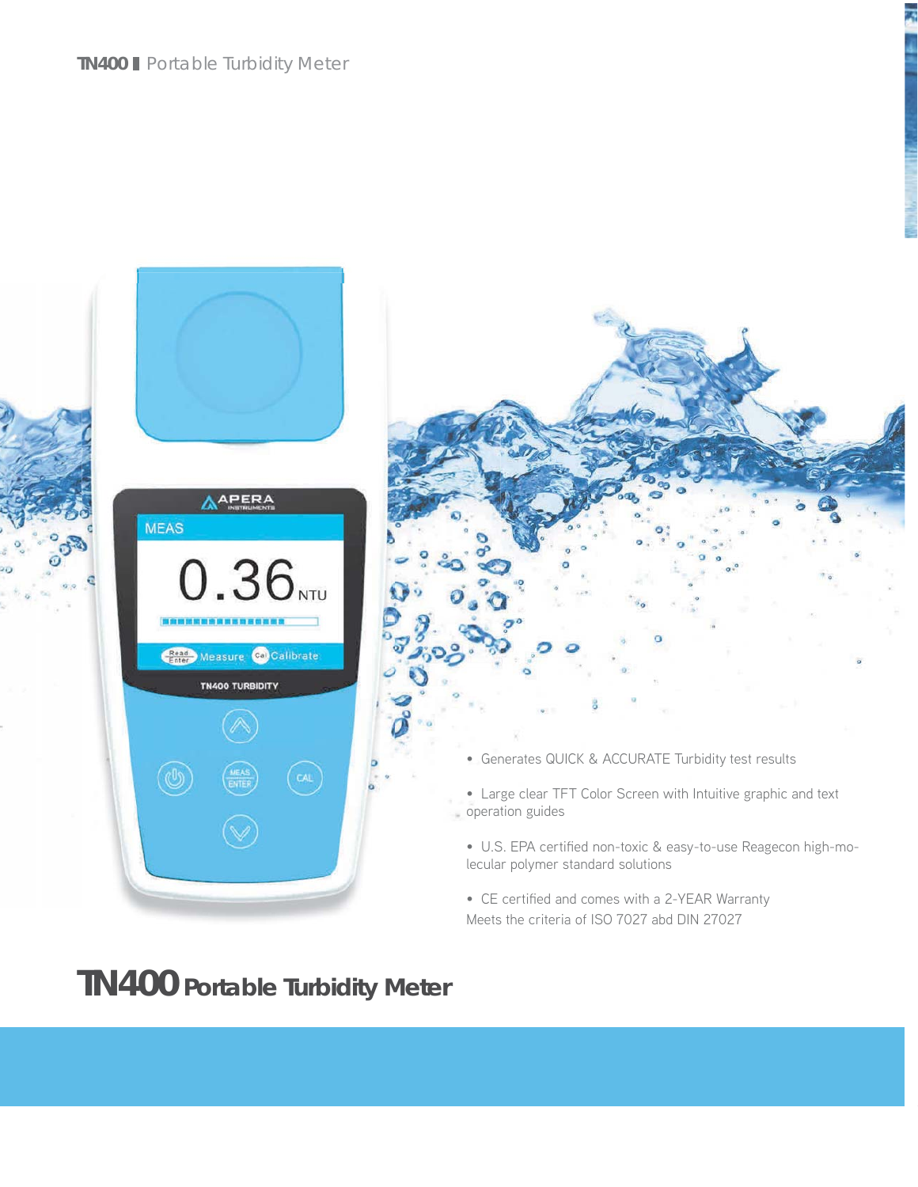



• Large clear TFT Color Screen with Intuitive graphic and text operation guides

• U.S. EPA certified non-toxic & easy-to-use Reagecon high-molecular polymer standard solutions

• CE certified and comes with a 2-YEAR Warranty Meets the criteria of ISO 7027 abd DIN 27027

## **TN400 Portable Turbidity Meter**